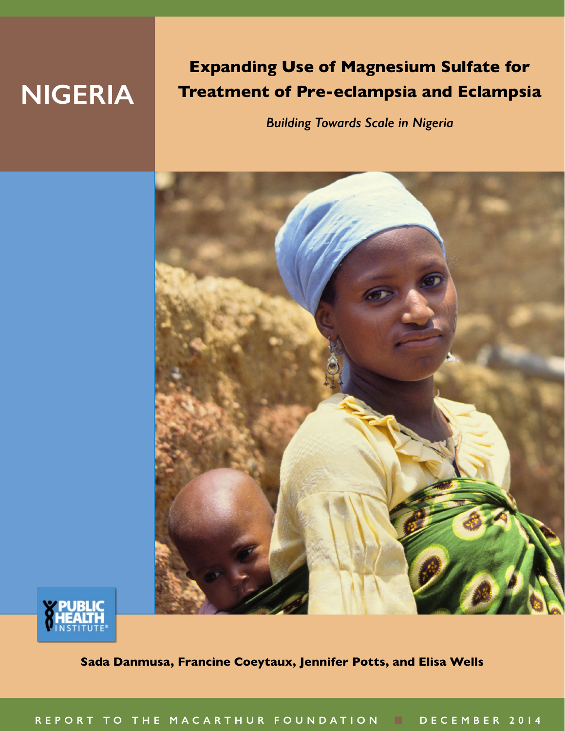# **NIGERIA**

## **Expanding Use of Magnesium Sulfate for Treatment of Pre-eclampsia and Eclampsia**

*Building Towards Scale in Nigeria*





**Sada Danmusa, Francine Coeytaux, Jennifer Potts, and Elisa Wells**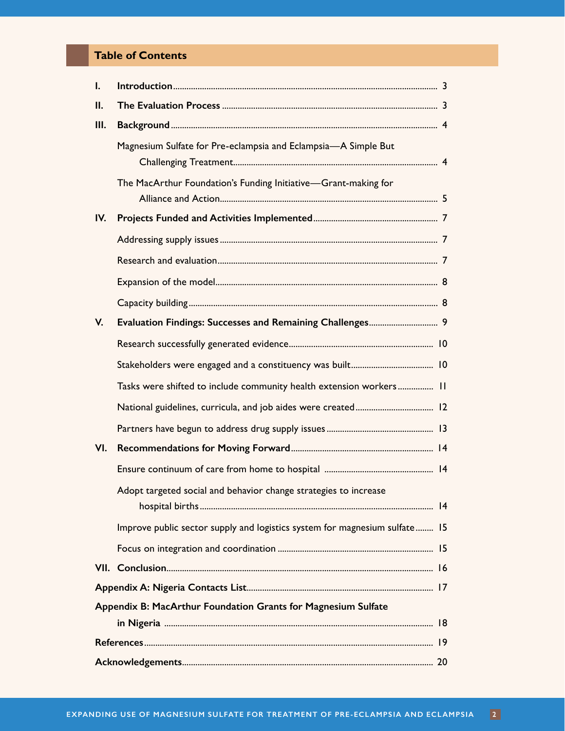## **Table of Contents**

| I.   |                                                                            |  |  |  |  |
|------|----------------------------------------------------------------------------|--|--|--|--|
| Ш.   |                                                                            |  |  |  |  |
| III. |                                                                            |  |  |  |  |
|      | Magnesium Sulfate for Pre-eclampsia and Eclampsia-A Simple But             |  |  |  |  |
|      | The MacArthur Foundation's Funding Initiative-Grant-making for             |  |  |  |  |
| IV.  |                                                                            |  |  |  |  |
|      |                                                                            |  |  |  |  |
|      |                                                                            |  |  |  |  |
|      |                                                                            |  |  |  |  |
|      |                                                                            |  |  |  |  |
| V.   |                                                                            |  |  |  |  |
|      |                                                                            |  |  |  |  |
|      |                                                                            |  |  |  |  |
|      | Tasks were shifted to include community health extension workers 11        |  |  |  |  |
|      |                                                                            |  |  |  |  |
|      |                                                                            |  |  |  |  |
| VI.  |                                                                            |  |  |  |  |
|      |                                                                            |  |  |  |  |
|      | Adopt targeted social and behavior change strategies to increase           |  |  |  |  |
|      | Improve public sector supply and logistics system for magnesium sulfate 15 |  |  |  |  |
|      |                                                                            |  |  |  |  |
|      |                                                                            |  |  |  |  |
|      |                                                                            |  |  |  |  |
|      | Appendix B: MacArthur Foundation Grants for Magnesium Sulfate              |  |  |  |  |
|      |                                                                            |  |  |  |  |
|      |                                                                            |  |  |  |  |
|      |                                                                            |  |  |  |  |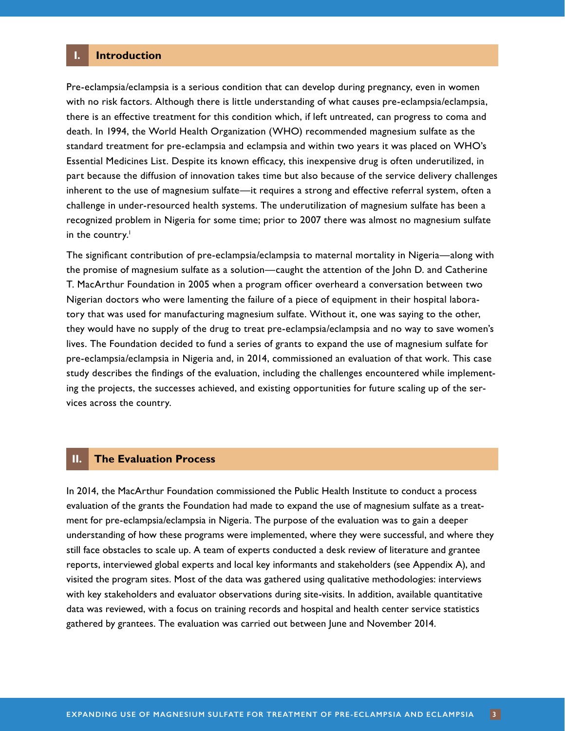#### <span id="page-2-0"></span>**I. Introduction**

Pre-eclampsia/eclampsia is a serious condition that can develop during pregnancy, even in women with no risk factors. Although there is little understanding of what causes pre-eclampsia/eclampsia, there is an effective treatment for this condition which, if left untreated, can progress to coma and death. In 1994, the World Health Organization (WHO) recommended magnesium sulfate as the standard treatment for pre-eclampsia and eclampsia and within two years it was placed on WHO's Essential Medicines List. Despite its known efficacy, this inexpensive drug is often underutilized, in part because the diffusion of innovation takes time but also because of the service delivery challenges inherent to the use of magnesium sulfate—it requires a strong and effective referral system, often a challenge in under-resourced health systems. The underutilization of magnesium sulfate has been a recognized problem in Nigeria for some time; prior to 2007 there was almost no magnesium sulfate in the country.<sup>1</sup>

The significant contribution of pre-eclampsia/eclampsia to maternal mortality in Nigeria—along with the promise of magnesium sulfate as a solution—caught the attention of the John D. and Catherine T. MacArthur Foundation in 2005 when a program officer overheard a conversation between two Nigerian doctors who were lamenting the failure of a piece of equipment in their hospital laboratory that was used for manufacturing magnesium sulfate. Without it, one was saying to the other, they would have no supply of the drug to treat pre-eclampsia/eclampsia and no way to save women's lives. The Foundation decided to fund a series of grants to expand the use of magnesium sulfate for pre-eclampsia/eclampsia in Nigeria and, in 2014, commissioned an evaluation of that work. This case study describes the findings of the evaluation, including the challenges encountered while implementing the projects, the successes achieved, and existing opportunities for future scaling up of the services across the country.

#### **II. The Evaluation Process**

In 2014, the MacArthur Foundation commissioned the Public Health Institute to conduct a process evaluation of the grants the Foundation had made to expand the use of magnesium sulfate as a treatment for pre-eclampsia/eclampsia in Nigeria. The purpose of the evaluation was to gain a deeper understanding of how these programs were implemented, where they were successful, and where they still face obstacles to scale up. A team of experts conducted a desk review of literature and grantee reports, interviewed global experts and local key informants and stakeholders (see Appendix A), and visited the program sites. Most of the data was gathered using qualitative methodologies: interviews with key stakeholders and evaluator observations during site-visits. In addition, available quantitative data was reviewed, with a focus on training records and hospital and health center service statistics gathered by grantees. The evaluation was carried out between June and November 2014.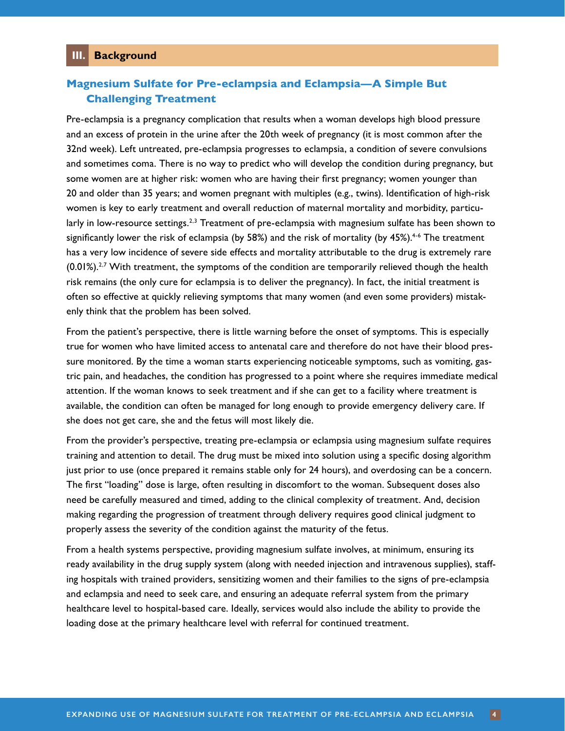## <span id="page-3-0"></span>**Magnesium Sulfate for Pre-eclampsia and Eclampsia—A Simple But Challenging Treatment**

Pre-eclampsia is a pregnancy complication that results when a woman develops high blood pressure and an excess of protein in the urine after the 20th week of pregnancy (it is most common after the 32nd week). Left untreated, pre-eclampsia progresses to eclampsia, a condition of severe convulsions and sometimes coma. There is no way to predict who will develop the condition during pregnancy, but some women are at higher risk: women who are having their first pregnancy; women younger than 20 and older than 35 years; and women pregnant with multiples (e.g., twins). Identification of high-risk women is key to early treatment and overall reduction of maternal mortality and morbidity, particu-larly in low-resource settings.<sup>[2,](#page-18-2)[3](#page-18-3)</sup> Treatment of pre-eclampsia with magnesium sulfate has been shown to significantly lower the risk of eclampsia (by 58%) and the risk of mortality (by [4](#page-18-4)5%).<sup>4-[6](#page-18-5)</sup> The treatment has a very low incidence of severe side effects and mortality attributable to the drug is extremely rare  $(0.01\%)$ .<sup>[2,](#page-18-2)[7](#page-18-6)</sup> With treatment, the symptoms of the condition are temporarily relieved though the health risk remains (the only cure for eclampsia is to deliver the pregnancy). In fact, the initial treatment is often so effective at quickly relieving symptoms that many women (and even some providers) mistakenly think that the problem has been solved.

From the patient's perspective, there is little warning before the onset of symptoms. This is especially true for women who have limited access to antenatal care and therefore do not have their blood pressure monitored. By the time a woman starts experiencing noticeable symptoms, such as vomiting, gastric pain, and headaches, the condition has progressed to a point where she requires immediate medical attention. If the woman knows to seek treatment and if she can get to a facility where treatment is available, the condition can often be managed for long enough to provide emergency delivery care. If she does not get care, she and the fetus will most likely die.

From the provider's perspective, treating pre-eclampsia or eclampsia using magnesium sulfate requires training and attention to detail. The drug must be mixed into solution using a specific dosing algorithm just prior to use (once prepared it remains stable only for 24 hours), and overdosing can be a concern. The first "loading" dose is large, often resulting in discomfort to the woman. Subsequent doses also need be carefully measured and timed, adding to the clinical complexity of treatment. And, decision making regarding the progression of treatment through delivery requires good clinical judgment to properly assess the severity of the condition against the maturity of the fetus.

From a health systems perspective, providing magnesium sulfate involves, at minimum, ensuring its ready availability in the drug supply system (along with needed injection and intravenous supplies), staffing hospitals with trained providers, sensitizing women and their families to the signs of pre-eclampsia and eclampsia and need to seek care, and ensuring an adequate referral system from the primary healthcare level to hospital-based care. Ideally, services would also include the ability to provide the loading dose at the primary healthcare level with referral for continued treatment.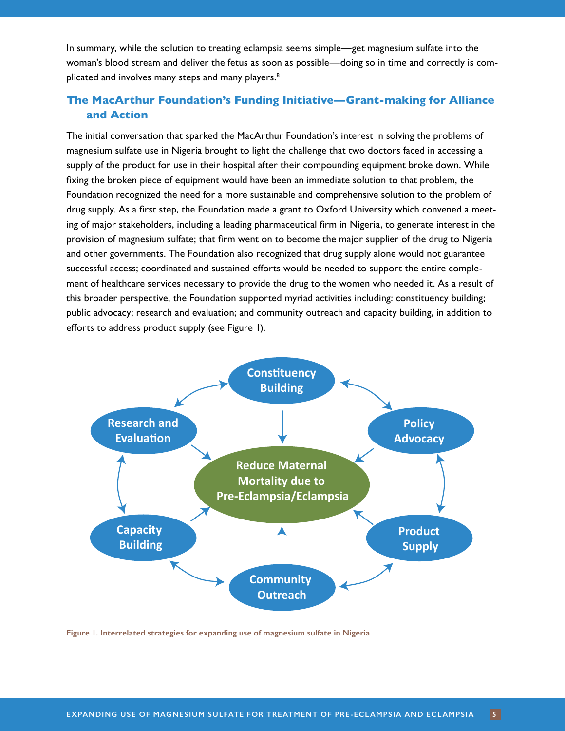<span id="page-4-0"></span>In summary, while the solution to treating eclampsia seems simple—get magnesium sulfate into the woman's blood stream and deliver the fetus as soon as possible—doing so in time and correctly is com-plicated and involves many steps and many players.<sup>[8](#page-18-7)</sup>

## **The MacArthur Foundation's Funding Initiative—Grant-making for Alliance and Action**

The initial conversation that sparked the MacArthur Foundation's interest in solving the problems of magnesium sulfate use in Nigeria brought to light the challenge that two doctors faced in accessing a supply of the product for use in their hospital after their compounding equipment broke down. While fixing the broken piece of equipment would have been an immediate solution to that problem, the Foundation recognized the need for a more sustainable and comprehensive solution to the problem of drug supply. As a first step, the Foundation made a grant to Oxford University which convened a meeting of major stakeholders, including a leading pharmaceutical firm in Nigeria, to generate interest in the provision of magnesium sulfate; that firm went on to become the major supplier of the drug to Nigeria and other governments. The Foundation also recognized that drug supply alone would not guarantee successful access; coordinated and sustained efforts would be needed to support the entire complement of healthcare services necessary to provide the drug to the women who needed it. As a result of this broader perspective, the Foundation supported myriad activities including: constituency building; public advocacy; research and evaluation; and community outreach and capacity building, in addition to efforts to address product supply (see Figure 1).



**Figure 1. Interrelated strategies for expanding use of magnesium sulfate in Nigeria**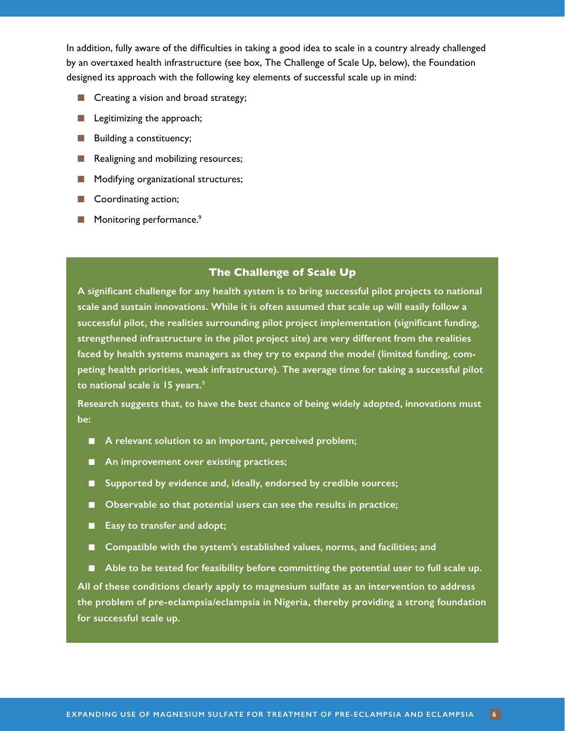In addition, fully aware of the difficulties in taking a good idea to scale in a country already challenged by an overtaxed health infrastructure (see box, The Challenge of Scale Up, below), the Foundation designed its approach with the following key elements of successful scale up in mind:

- Creating a vision and broad strategy;
- Legitimizing the approach;
- Building a constituency;
- Realigning and mobilizing resources;
- Modifying organizational structures;
- Coordinating action;
- Monitoring performance.<sup>9</sup>

#### **The Challenge of Scale Up**

**A significant challenge for any health system is to bring successful pilot projects to national scale and sustain innovations. While it is often assumed that scale up will easily follow a successful pilot, the realities surrounding pilot project implementation (significant funding, strengthened infrastructure in the pilot project site) are very different from the realities faced by health systems managers as they try to expand the model (limited funding, competing health priorities, weak infrastructure). The average time for taking a successful pilot to national scale is 15 years.**[9](#page-18-8)

**Research suggests that, to have the best chance of being widely adopted, innovations must be:**

- A relevant solution to an important, perceived problem;
- An improvement over existing practices;
- Supported by evidence and, ideally, endorsed by credible sources;
- Observable so that potential users can see the results in practice;
- **Easy to transfer and adopt;**
- Compatible with the system's established values, norms, and facilities; and

■ Able to be tested for feasibility before committing the potential user to full scale up. **All of these conditions clearly apply to magnesium sulfate as an intervention to address the problem of pre-eclampsia/eclampsia in Nigeria, thereby providing a strong foundation for successful scale up.**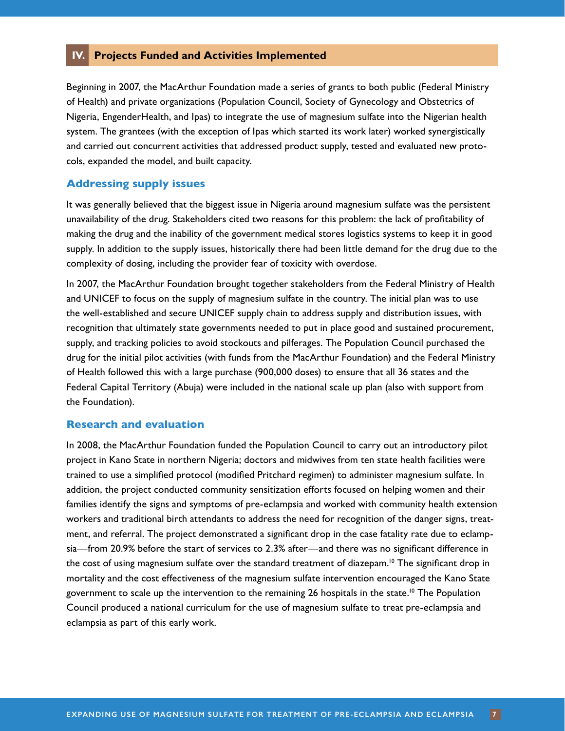#### <span id="page-6-0"></span>**IV. Projects Funded and Activities Implemented**

Beginning in 2007, the MacArthur Foundation made a series of grants to both public (Federal Ministry of Health) and private organizations (Population Council, Society of Gynecology and Obstetrics of Nigeria, EngenderHealth, and Ipas) to integrate the use of magnesium sulfate into the Nigerian health system. The grantees (with the exception of Ipas which started its work later) worked synergistically and carried out concurrent activities that addressed product supply, tested and evaluated new protocols, expanded the model, and built capacity.

#### **Addressing supply issues**

It was generally believed that the biggest issue in Nigeria around magnesium sulfate was the persistent unavailability of the drug. Stakeholders cited two reasons for this problem: the lack of profitability of making the drug and the inability of the government medical stores logistics systems to keep it in good supply. In addition to the supply issues, historically there had been little demand for the drug due to the complexity of dosing, including the provider fear of toxicity with overdose.

In 2007, the MacArthur Foundation brought together stakeholders from the Federal Ministry of Health and UNICEF to focus on the supply of magnesium sulfate in the country. The initial plan was to use the well-established and secure UNICEF supply chain to address supply and distribution issues, with recognition that ultimately state governments needed to put in place good and sustained procurement, supply, and tracking policies to avoid stockouts and pilferages. The Population Council purchased the drug for the initial pilot activities (with funds from the MacArthur Foundation) and the Federal Ministry of Health followed this with a large purchase (900,000 doses) to ensure that all 36 states and the Federal Capital Territory (Abuja) were included in the national scale up plan (also with support from the Foundation).

#### **Research and evaluation**

In 2008, the MacArthur Foundation funded the Population Council to carry out an introductory pilot project in Kano State in northern Nigeria; doctors and midwives from ten state health facilities were trained to use a simplified protocol (modified Pritchard regimen) to administer magnesium sulfate. In addition, the project conducted community sensitization efforts focused on helping women and their families identify the signs and symptoms of pre-eclampsia and worked with community health extension workers and traditional birth attendants to address the need for recognition of the danger signs, treatment, and referral. The project demonstrated a significant drop in the case fatality rate due to eclampsia—from 20.9% before the start of services to 2.3% after—and there was no significant difference in the cost of using magnesium sulfate over the standard treatment of diazepam.<sup>10</sup> The significant drop in mortality and the cost effectiveness of the magnesium sulfate intervention encouraged the Kano State government to scale up the intervention to the remaining 26 hospitals in the state.<sup>10</sup> The Population Council produced a national curriculum for the use of magnesium sulfate to treat pre-eclampsia and eclampsia as part of this early work.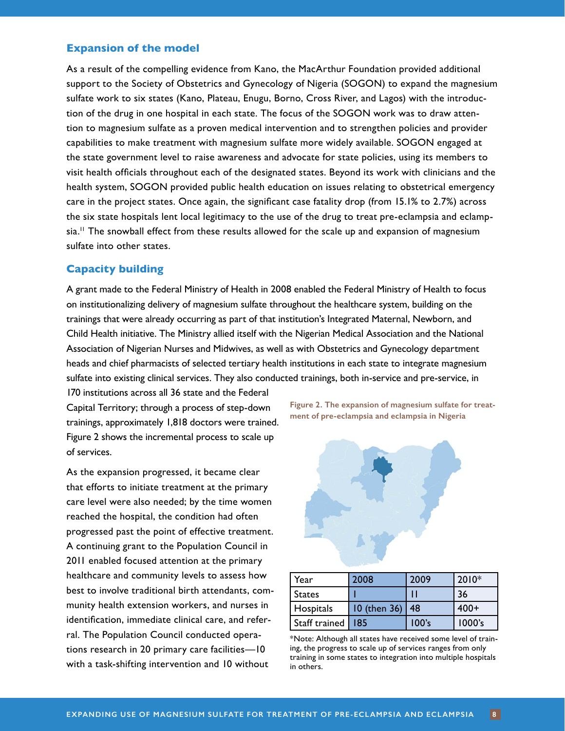#### <span id="page-7-0"></span>**Expansion of the model**

As a result of the compelling evidence from Kano, the MacArthur Foundation provided additional support to the Society of Obstetrics and Gynecology of Nigeria (SOGON) to expand the magnesium sulfate work to six states (Kano, Plateau, Enugu, Borno, Cross River, and Lagos) with the introduction of the drug in one hospital in each state. The focus of the SOGON work was to draw attention to magnesium sulfate as a proven medical intervention and to strengthen policies and provider capabilities to make treatment with magnesium sulfate more widely available. SOGON engaged at the state government level to raise awareness and advocate for state policies, using its members to visit health officials throughout each of the designated states. Beyond its work with clinicians and the health system, SOGON provided public health education on issues relating to obstetrical emergency care in the project states. Once again, the significant case fatality drop (from 15.1% to 2.7%) across the six state hospitals lent local legitimacy to the use of the drug to treat pre-eclampsia and eclampsia.<sup>11</sup> The snowball effect from these results allowed for the scale up and expansion of magnesium sulfate into other states.

#### **Capacity building**

A grant made to the Federal Ministry of Health in 2008 enabled the Federal Ministry of Health to focus on institutionalizing delivery of magnesium sulfate throughout the healthcare system, building on the trainings that were already occurring as part of that institution's Integrated Maternal, Newborn, and Child Health initiative. The Ministry allied itself with the Nigerian Medical Association and the National Association of Nigerian Nurses and Midwives, as well as with Obstetrics and Gynecology department heads and chief pharmacists of selected tertiary health institutions in each state to integrate magnesium sulfate into existing clinical services. They also conducted trainings, both in-service and pre-service, in

170 institutions across all 36 state and the Federal Capital Territory; through a process of step-down trainings, approximately 1,818 doctors were trained. Figure 2 shows the incremental process to scale up of services.

As the expansion progressed, it became clear that efforts to initiate treatment at the primary care level were also needed; by the time women reached the hospital, the condition had often progressed past the point of effective treatment. A continuing grant to the Population Council in 2011 enabled focused attention at the primary healthcare and community levels to assess how best to involve traditional birth attendants, community health extension workers, and nurses in identification, immediate clinical care, and referral. The Population Council conducted operations research in 20 primary care facilities—10 with a task-shifting intervention and 10 without





| Year                | 2008         | 2009  | $2010*$ |
|---------------------|--------------|-------|---------|
| States              |              |       | 36      |
| Hospitals           | 10 (then 36) | 48    | $400+$  |
| Staff trained   185 |              | 100's | 1000's  |

\*Note: Although all states have received some level of training, the progress to scale up of services ranges from only training in some states to integration into multiple hospitals in others.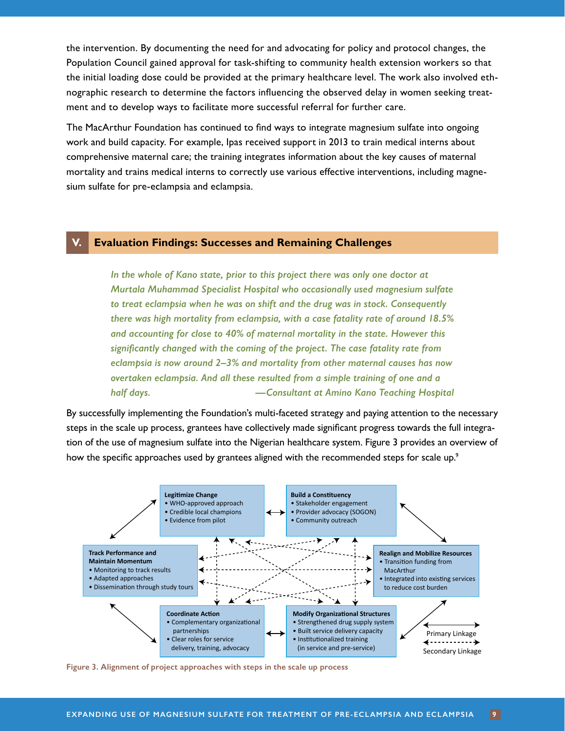<span id="page-8-0"></span>the intervention. By documenting the need for and advocating for policy and protocol changes, the Population Council gained approval for task-shifting to community health extension workers so that the initial loading dose could be provided at the primary healthcare level. The work also involved ethnographic research to determine the factors influencing the observed delay in women seeking treatment and to develop ways to facilitate more successful referral for further care.

The MacArthur Foundation has continued to find ways to integrate magnesium sulfate into ongoing work and build capacity. For example, Ipas received support in 2013 to train medical interns about comprehensive maternal care; the training integrates information about the key causes of maternal mortality and trains medical interns to correctly use various effective interventions, including magnesium sulfate for pre-eclampsia and eclampsia.

#### **V. Evaluation Findings: Successes and Remaining Challenges**

*In the whole of Kano state, prior to this project there was only one doctor at Murtala Muhammad Specialist Hospital who occasionally used magnesium sulfate to treat eclampsia when he was on shift and the drug was in stock. Consequently there was high mortality from eclampsia, with a case fatality rate of around 18.5% and accounting for close to 40% of maternal mortality in the state. However this significantly changed with the coming of the project. The case fatality rate from eclampsia is now around 2–3% and mortality from other maternal causes has now overtaken eclampsia. And all these resulted from a simple training of one and a half days. —Consultant at Amino Kano Teaching Hospital*

By successfully implementing the Foundation's multi-faceted strategy and paying attention to the necessary steps in the scale up process, grantees have collectively made significant progress towards the full integration of the use of magnesium sulfate into the Nigerian healthcare system. Figure 3 provides an overview of how the specific approaches used by grantees aligned with the recommended steps for scale up.<sup>[9](#page-18-8)</sup>



**Figure 3. Alignment of project approaches with steps in the scale up process**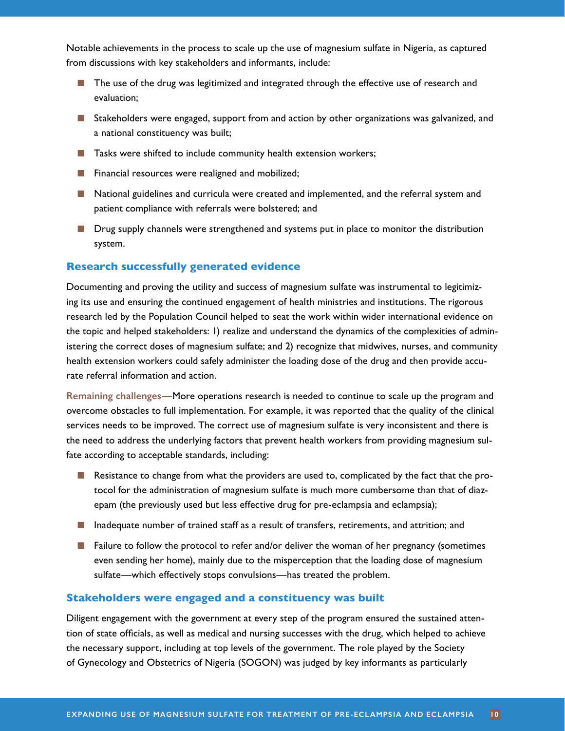<span id="page-9-0"></span>Notable achievements in the process to scale up the use of magnesium sulfate in Nigeria, as captured from discussions with key stakeholders and informants, include:

- The use of the drug was legitimized and integrated through the effective use of research and evaluation;
- Stakeholders were engaged, support from and action by other organizations was galvanized, and a national constituency was built;
- Tasks were shifted to include community health extension workers;
- Financial resources were realigned and mobilized;
- National guidelines and curricula were created and implemented, and the referral system and patient compliance with referrals were bolstered; and
- Drug supply channels were strengthened and systems put in place to monitor the distribution system.

#### **Research successfully generated evidence**

Documenting and proving the utility and success of magnesium sulfate was instrumental to legitimizing its use and ensuring the continued engagement of health ministries and institutions. The rigorous research led by the Population Council helped to seat the work within wider international evidence on the topic and helped stakeholders: 1) realize and understand the dynamics of the complexities of administering the correct doses of magnesium sulfate; and 2) recognize that midwives, nurses, and community health extension workers could safely administer the loading dose of the drug and then provide accurate referral information and action.

**Remaining challenges—**More operations research is needed to continue to scale up the program and overcome obstacles to full implementation. For example, it was reported that the quality of the clinical services needs to be improved. The correct use of magnesium sulfate is very inconsistent and there is the need to address the underlying factors that prevent health workers from providing magnesium sulfate according to acceptable standards, including:

- Resistance to change from what the providers are used to, complicated by the fact that the protocol for the administration of magnesium sulfate is much more cumbersome than that of diazepam (the previously used but less effective drug for pre-eclampsia and eclampsia);
- Inadequate number of trained staff as a result of transfers, retirements, and attrition; and
- Failure to follow the protocol to refer and/or deliver the woman of her pregnancy (sometimes even sending her home), mainly due to the misperception that the loading dose of magnesium sulfate—which effectively stops convulsions—has treated the problem.

#### **Stakeholders were engaged and a constituency was built**

Diligent engagement with the government at every step of the program ensured the sustained attention of state officials, as well as medical and nursing successes with the drug, which helped to achieve the necessary support, including at top levels of the government. The role played by the Society of Gynecology and Obstetrics of Nigeria (SOGON) was judged by key informants as particularly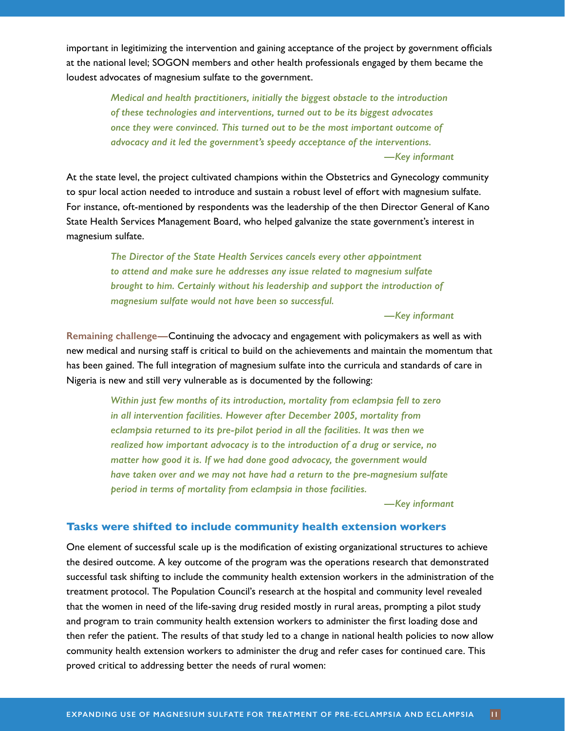<span id="page-10-0"></span>important in legitimizing the intervention and gaining acceptance of the project by government officials at the national level; SOGON members and other health professionals engaged by them became the loudest advocates of magnesium sulfate to the government.

> *Medical and health practitioners, initially the biggest obstacle to the introduction of these technologies and interventions, turned out to be its biggest advocates once they were convinced. This turned out to be the most important outcome of advocacy and it led the government's speedy acceptance of the interventions. —Key informant*

At the state level, the project cultivated champions within the Obstetrics and Gynecology community to spur local action needed to introduce and sustain a robust level of effort with magnesium sulfate. For instance, oft-mentioned by respondents was the leadership of the then Director General of Kano State Health Services Management Board, who helped galvanize the state government's interest in magnesium sulfate.

> *The Director of the State Health Services cancels every other appointment to attend and make sure he addresses any issue related to magnesium sulfate brought to him. Certainly without his leadership and support the introduction of magnesium sulfate would not have been so successful.*

#### *—Key informant*

**Remaining challenge—**Continuing the advocacy and engagement with policymakers as well as with new medical and nursing staff is critical to build on the achievements and maintain the momentum that has been gained. The full integration of magnesium sulfate into the curricula and standards of care in Nigeria is new and still very vulnerable as is documented by the following:

> *Within just few months of its introduction, mortality from eclampsia fell to zero in all intervention facilities. However after December 2005, mortality from eclampsia returned to its pre-pilot period in all the facilities. It was then we realized how important advocacy is to the introduction of a drug or service, no matter how good it is. If we had done good advocacy, the government would have taken over and we may not have had a return to the pre-magnesium sulfate period in terms of mortality from eclampsia in those facilities.*

> > *—Key informant*

#### **Tasks were shifted to include community health extension workers**

One element of successful scale up is the modification of existing organizational structures to achieve the desired outcome. A key outcome of the program was the operations research that demonstrated successful task shifting to include the community health extension workers in the administration of the treatment protocol. The Population Council's research at the hospital and community level revealed that the women in need of the life-saving drug resided mostly in rural areas, prompting a pilot study and program to train community health extension workers to administer the first loading dose and then refer the patient. The results of that study led to a change in national health policies to now allow community health extension workers to administer the drug and refer cases for continued care. This proved critical to addressing better the needs of rural women: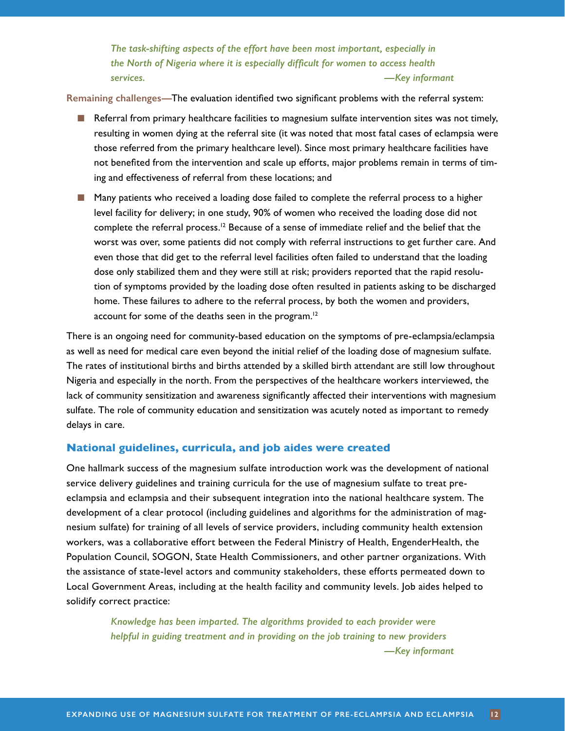*The task-shifting aspects of the effort have been most important, especially in the North of Nigeria where it is especially difficult for women to access health services. —Key informant*

<span id="page-11-0"></span>**Remaining challenges—**The evaluation identified two significant problems with the referral system:

- Referral from primary healthcare facilities to magnesium sulfate intervention sites was not timely, resulting in women dying at the referral site (it was noted that most fatal cases of eclampsia were those referred from the primary healthcare level). Since most primary healthcare facilities have not benefited from the intervention and scale up efforts, major problems remain in terms of timing and effectiveness of referral from these locations; and
- Many patients who received a loading dose failed to complete the referral process to a higher level facility for delivery; in one study, 90% of women who received the loading dose did not complete the referral process.<sup>12</sup> Because of a sense of immediate relief and the belief that the worst was over, some patients did not comply with referral instructions to get further care. And even those that did get to the referral level facilities often failed to understand that the loading dose only stabilized them and they were still at risk; providers reported that the rapid resolution of symptoms provided by the loading dose often resulted in patients asking to be discharged home. These failures to adhere to the referral process, by both the women and providers, account for some of the deaths seen in the program.<sup>12</sup>

There is an ongoing need for community-based education on the symptoms of pre-eclampsia/eclampsia as well as need for medical care even beyond the initial relief of the loading dose of magnesium sulfate. The rates of institutional births and births attended by a skilled birth attendant are still low throughout Nigeria and especially in the north. From the perspectives of the healthcare workers interviewed, the lack of community sensitization and awareness significantly affected their interventions with magnesium sulfate. The role of community education and sensitization was acutely noted as important to remedy delays in care.

#### **National guidelines, curricula, and job aides were created**

One hallmark success of the magnesium sulfate introduction work was the development of national service delivery guidelines and training curricula for the use of magnesium sulfate to treat preeclampsia and eclampsia and their subsequent integration into the national healthcare system. The development of a clear protocol (including guidelines and algorithms for the administration of magnesium sulfate) for training of all levels of service providers, including community health extension workers, was a collaborative effort between the Federal Ministry of Health, EngenderHealth, the Population Council, SOGON, State Health Commissioners, and other partner organizations. With the assistance of state-level actors and community stakeholders, these efforts permeated down to Local Government Areas, including at the health facility and community levels. Job aides helped to solidify correct practice:

> *Knowledge has been imparted. The algorithms provided to each provider were helpful in guiding treatment and in providing on the job training to new providers —Key informant*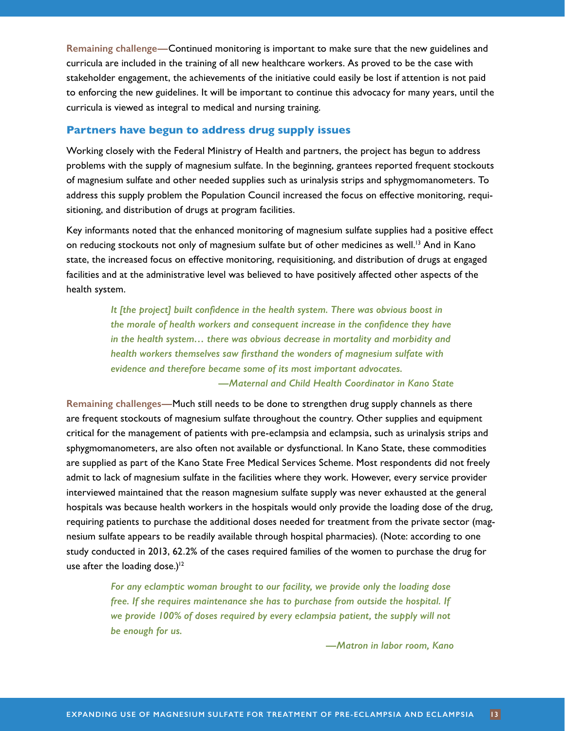<span id="page-12-0"></span>**Remaining challenge—**Continued monitoring is important to make sure that the new guidelines and curricula are included in the training of all new healthcare workers. As proved to be the case with stakeholder engagement, the achievements of the initiative could easily be lost if attention is not paid to enforcing the new guidelines. It will be important to continue this advocacy for many years, until the curricula is viewed as integral to medical and nursing training.

#### **Partners have begun to address drug supply issues**

Working closely with the Federal Ministry of Health and partners, the project has begun to address problems with the supply of magnesium sulfate. In the beginning, grantees reported frequent stockouts of magnesium sulfate and other needed supplies such as urinalysis strips and sphygmomanometers. To address this supply problem the Population Council increased the focus on effective monitoring, requisitioning, and distribution of drugs at program facilities.

Key informants noted that the enhanced monitoring of magnesium sulfate supplies had a positive effect on reducing stockouts not only of magnesium sulfate but of other medicines as well.<sup>13</sup> And in Kano state, the increased focus on effective monitoring, requisitioning, and distribution of drugs at engaged facilities and at the administrative level was believed to have positively affected other aspects of the health system.

> *It [the project] built confidence in the health system. There was obvious boost in the morale of health workers and consequent increase in the confidence they have in the health system… there was obvious decrease in mortality and morbidity and health workers themselves saw firsthand the wonders of magnesium sulfate with evidence and therefore became some of its most important advocates. —Maternal and Child Health Coordinator in Kano State*

**Remaining challenges—**Much still needs to be done to strengthen drug supply channels as there are frequent stockouts of magnesium sulfate throughout the country. Other supplies and equipment critical for the management of patients with pre-eclampsia and eclampsia, such as urinalysis strips and sphygmomanometers, are also often not available or dysfunctional. In Kano State, these commodities are supplied as part of the Kano State Free Medical Services Scheme. Most respondents did not freely admit to lack of magnesium sulfate in the facilities where they work. However, every service provider interviewed maintained that the reason magnesium sulfate supply was never exhausted at the general hospitals was because health workers in the hospitals would only provide the loading dose of the drug, requiring patients to purchase the additional doses needed for treatment from the private sector (magnesium sulfate appears to be readily available through hospital pharmacies). (Note: according to one study conducted in 2013, 62.2% of the cases required families of the women to purchase the drug for use after the loading dose.)<sup>12</sup>

> *For any eclamptic woman brought to our facility, we provide only the loading dose free. If she requires maintenance she has to purchase from outside the hospital. If we provide 100% of doses required by every eclampsia patient, the supply will not be enough for us.*

> > *—Matron in labor room, Kano*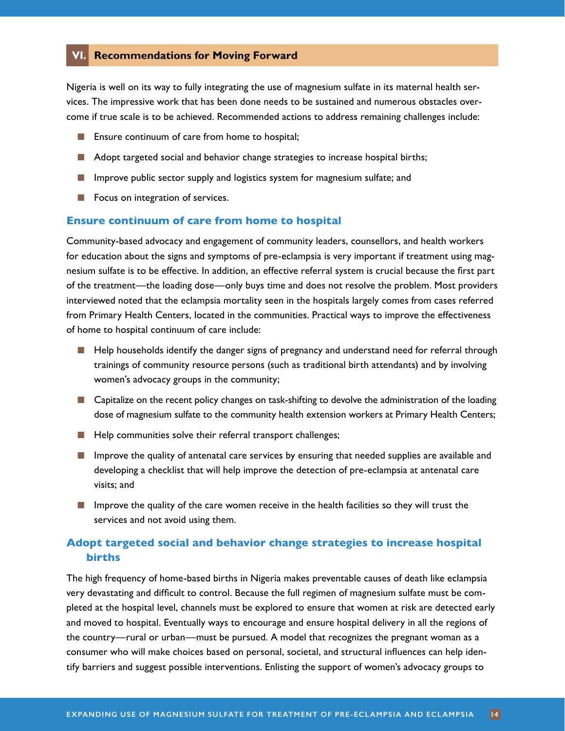#### <span id="page-13-0"></span>**VI. Recommendations for Moving Forward**

Nigeria is well on its way to fully integrating the use of magnesium sulfate in its maternal health services. The impressive work that has been done needs to be sustained and numerous obstacles overcome if true scale is to be achieved. Recommended actions to address remaining challenges include:

- Ensure continuum of care from home to hospital;
- Adopt targeted social and behavior change strategies to increase hospital births;
- Improve public sector supply and logistics system for magnesium sulfate; and
- Focus on integration of services.

#### **Ensure continuum of care from home to hospital**

Community-based advocacy and engagement of community leaders, counsellors, and health workers for education about the signs and symptoms of pre-eclampsia is very important if treatment using magnesium sulfate is to be effective. In addition, an effective referral system is crucial because the first part of the treatment—the loading dose—only buys time and does not resolve the problem. Most providers interviewed noted that the eclampsia mortality seen in the hospitals largely comes from cases referred from Primary Health Centers, located in the communities. Practical ways to improve the effectiveness of home to hospital continuum of care include:

- Help households identify the danger signs of pregnancy and understand need for referral through trainings of community resource persons (such as traditional birth attendants) and by involving women's advocacy groups in the community;
- Capitalize on the recent policy changes on task-shifting to devolve the administration of the loading dose of magnesium sulfate to the community health extension workers at Primary Health Centers;
- Help communities solve their referral transport challenges;
- Improve the quality of antenatal care services by ensuring that needed supplies are available and developing a checklist that will help improve the detection of pre-eclampsia at antenatal care visits; and
- Improve the quality of the care women receive in the health facilities so they will trust the services and not avoid using them.

#### **Adopt targeted social and behavior change strategies to increase hospital births**

The high frequency of home-based births in Nigeria makes preventable causes of death like eclampsia very devastating and difficult to control. Because the full regimen of magnesium sulfate must be completed at the hospital level, channels must be explored to ensure that women at risk are detected early and moved to hospital. Eventually ways to encourage and ensure hospital delivery in all the regions of the country—rural or urban—must be pursued. A model that recognizes the pregnant woman as a consumer who will make choices based on personal, societal, and structural influences can help identify barriers and suggest possible interventions. Enlisting the support of women's advocacy groups to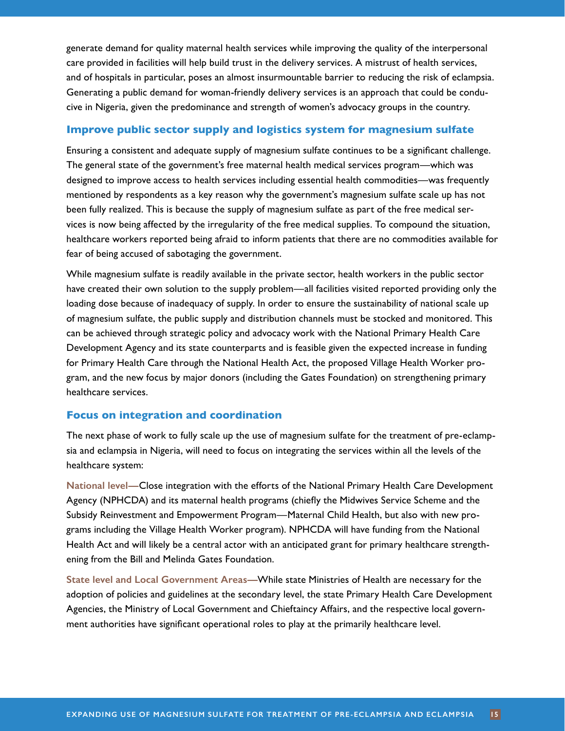<span id="page-14-0"></span>generate demand for quality maternal health services while improving the quality of the interpersonal care provided in facilities will help build trust in the delivery services. A mistrust of health services, and of hospitals in particular, poses an almost insurmountable barrier to reducing the risk of eclampsia. Generating a public demand for woman-friendly delivery services is an approach that could be conducive in Nigeria, given the predominance and strength of women's advocacy groups in the country.

#### **Improve public sector supply and logistics system for magnesium sulfate**

Ensuring a consistent and adequate supply of magnesium sulfate continues to be a significant challenge. The general state of the government's free maternal health medical services program—which was designed to improve access to health services including essential health commodities—was frequently mentioned by respondents as a key reason why the government's magnesium sulfate scale up has not been fully realized. This is because the supply of magnesium sulfate as part of the free medical services is now being affected by the irregularity of the free medical supplies. To compound the situation, healthcare workers reported being afraid to inform patients that there are no commodities available for fear of being accused of sabotaging the government.

While magnesium sulfate is readily available in the private sector, health workers in the public sector have created their own solution to the supply problem—all facilities visited reported providing only the loading dose because of inadequacy of supply. In order to ensure the sustainability of national scale up of magnesium sulfate, the public supply and distribution channels must be stocked and monitored. This can be achieved through strategic policy and advocacy work with the National Primary Health Care Development Agency and its state counterparts and is feasible given the expected increase in funding for Primary Health Care through the National Health Act, the proposed Village Health Worker program, and the new focus by major donors (including the Gates Foundation) on strengthening primary healthcare services.

#### **Focus on integration and coordination**

The next phase of work to fully scale up the use of magnesium sulfate for the treatment of pre-eclampsia and eclampsia in Nigeria, will need to focus on integrating the services within all the levels of the healthcare system:

**National level—**Close integration with the efforts of the National Primary Health Care Development Agency (NPHCDA) and its maternal health programs (chiefly the Midwives Service Scheme and the Subsidy Reinvestment and Empowerment Program—Maternal Child Health, but also with new programs including the Village Health Worker program). NPHCDA will have funding from the National Health Act and will likely be a central actor with an anticipated grant for primary healthcare strengthening from the Bill and Melinda Gates Foundation.

**State level and Local Government Areas—**While state Ministries of Health are necessary for the adoption of policies and guidelines at the secondary level, the state Primary Health Care Development Agencies, the Ministry of Local Government and Chieftaincy Affairs, and the respective local government authorities have significant operational roles to play at the primarily healthcare level.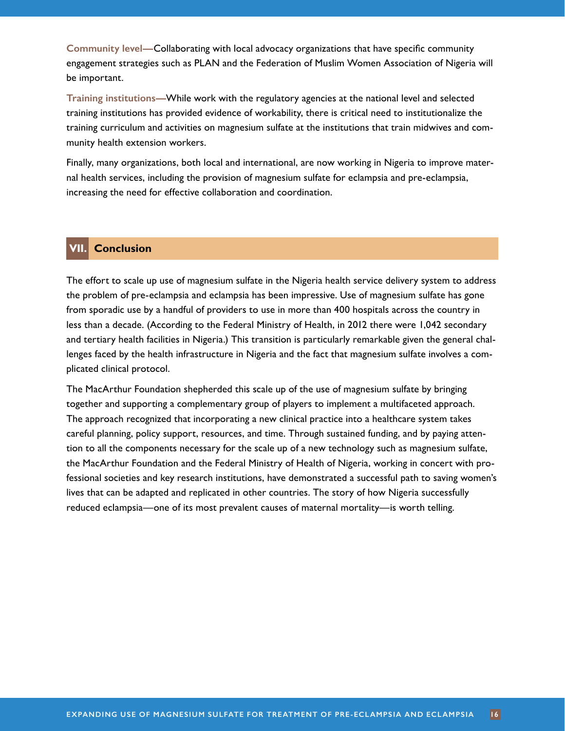<span id="page-15-0"></span>**Community level—**Collaborating with local advocacy organizations that have specific community engagement strategies such as PLAN and the Federation of Muslim Women Association of Nigeria will be important.

**Training institutions—**While work with the regulatory agencies at the national level and selected training institutions has provided evidence of workability, there is critical need to institutionalize the training curriculum and activities on magnesium sulfate at the institutions that train midwives and community health extension workers.

Finally, many organizations, both local and international, are now working in Nigeria to improve maternal health services, including the provision of magnesium sulfate for eclampsia and pre-eclampsia, increasing the need for effective collaboration and coordination.

#### **VII. Conclusion**

The effort to scale up use of magnesium sulfate in the Nigeria health service delivery system to address the problem of pre-eclampsia and eclampsia has been impressive. Use of magnesium sulfate has gone from sporadic use by a handful of providers to use in more than 400 hospitals across the country in less than a decade. (According to the Federal Ministry of Health, in 2012 there were 1,042 secondary and tertiary health facilities in Nigeria.) This transition is particularly remarkable given the general challenges faced by the health infrastructure in Nigeria and the fact that magnesium sulfate involves a complicated clinical protocol.

The MacArthur Foundation shepherded this scale up of the use of magnesium sulfate by bringing together and supporting a complementary group of players to implement a multifaceted approach. The approach recognized that incorporating a new clinical practice into a healthcare system takes careful planning, policy support, resources, and time. Through sustained funding, and by paying attention to all the components necessary for the scale up of a new technology such as magnesium sulfate, the MacArthur Foundation and the Federal Ministry of Health of Nigeria, working in concert with professional societies and key research institutions, have demonstrated a successful path to saving women's lives that can be adapted and replicated in other countries. The story of how Nigeria successfully reduced eclampsia—one of its most prevalent causes of maternal mortality—is worth telling.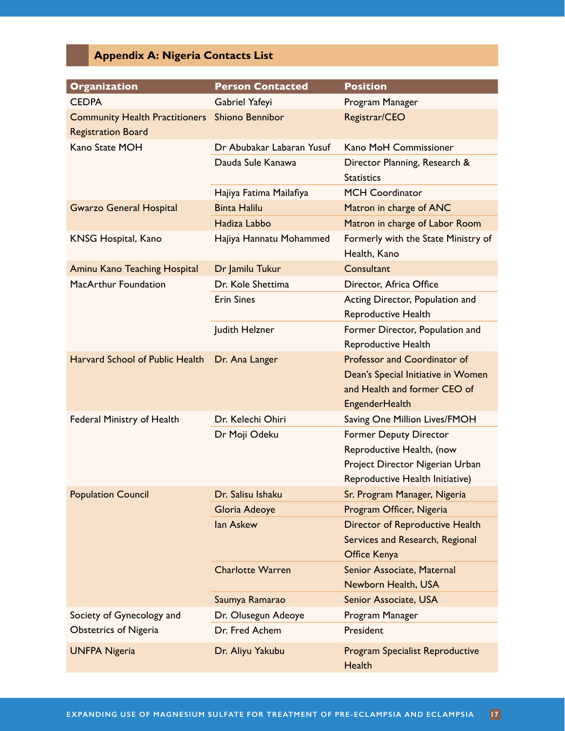## **Appendix A: Nigeria Contacts List**

<span id="page-16-0"></span>

| <b>Organization</b>                   | <b>Person Contacted</b>   | <b>Position</b>                                               |
|---------------------------------------|---------------------------|---------------------------------------------------------------|
| <b>CEDPA</b>                          | Gabriel Yafeyi            | Program Manager                                               |
| <b>Community Health Practitioners</b> | <b>Shiono Bennibor</b>    | Registrar/CEO                                                 |
| <b>Registration Board</b>             |                           |                                                               |
| Kano State MOH                        | Dr Abubakar Labaran Yusuf | Kano MoH Commissioner                                         |
|                                       | Dauda Sule Kanawa         | Director Planning, Research &<br><b>Statistics</b>            |
|                                       | Hajiya Fatima Mailafiya   | <b>MCH Coordinator</b>                                        |
| <b>Gwarzo General Hospital</b>        | <b>Binta Halilu</b>       | Matron in charge of ANC                                       |
|                                       | Hadiza Labbo              | Matron in charge of Labor Room                                |
| <b>KNSG Hospital, Kano</b>            | Hajiya Hannatu Mohammed   | Formerly with the State Ministry of<br>Health, Kano           |
| <b>Aminu Kano Teaching Hospital</b>   | Dr Jamilu Tukur           | Consultant                                                    |
| MacArthur Foundation                  | Dr. Kole Shettima         | Director, Africa Office                                       |
|                                       | <b>Erin Sines</b>         | Acting Director, Population and<br><b>Reproductive Health</b> |
|                                       | Judith Helzner            | Former Director, Population and                               |
|                                       |                           | Reproductive Health                                           |
| Harvard School of Public Health       | Dr. Ana Langer            | Professor and Coordinator of                                  |
|                                       |                           | Dean's Special Initiative in Women                            |
|                                       |                           | and Health and former CEO of                                  |
|                                       |                           | <b>EngenderHealth</b>                                         |
| Federal Ministry of Health            | Dr. Kelechi Ohiri         | Saving One Million Lives/FMOH                                 |
|                                       | Dr Moji Odeku             | <b>Former Deputy Director</b>                                 |
|                                       |                           | Reproductive Health, (now                                     |
|                                       |                           | Project Director Nigerian Urban                               |
|                                       |                           | Reproductive Health Initiative)                               |
| <b>Population Council</b>             | Dr. Salisu Ishaku         | Sr. Program Manager, Nigeria                                  |
|                                       | Gloria Adeoye             | Program Officer, Nigeria                                      |
|                                       | <b>lan Askew</b>          | <b>Director of Reproductive Health</b>                        |
|                                       |                           | Services and Research, Regional                               |
|                                       |                           | Office Kenya                                                  |
|                                       | <b>Charlotte Warren</b>   | Senior Associate, Maternal                                    |
|                                       |                           | Newborn Health, USA                                           |
|                                       | Saumya Ramarao            | Senior Associate, USA                                         |
| Society of Gynecology and             | Dr. Olusegun Adeoye       | Program Manager                                               |
| <b>Obstetrics of Nigeria</b>          | Dr. Fred Achem            | President                                                     |
| <b>UNFPA Nigeria</b>                  | Dr. Aliyu Yakubu          | <b>Program Specialist Reproductive</b><br><b>Health</b>       |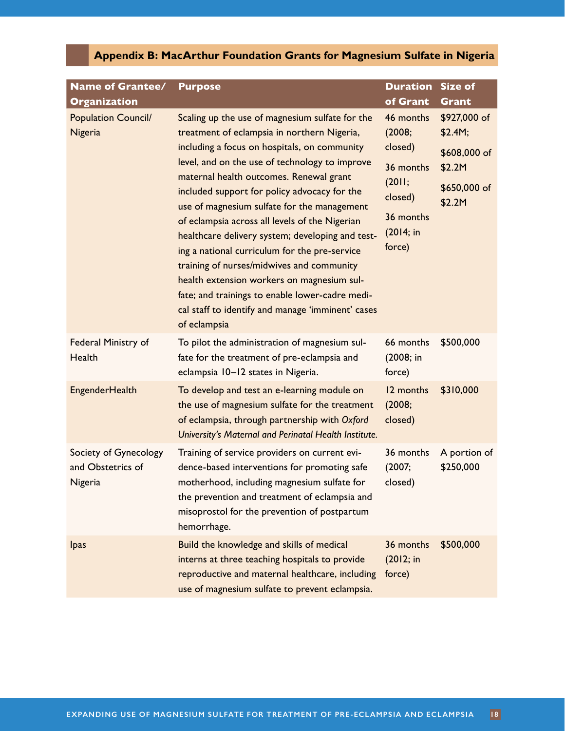## **Appendix B: MacArthur Foundation Grants for Magnesium Sulfate in Nigeria**

<span id="page-17-0"></span>

| <b>Name of Grantee/</b><br><b>Organization</b>        | <b>Purpose</b>                                                                                                                                                                                                                                                                                                                                                                                                                                                                                                                                                                                                                                                                                                       | <b>Duration</b><br>of Grant                                                                          | <b>Size of</b><br><b>Grant</b>                                              |
|-------------------------------------------------------|----------------------------------------------------------------------------------------------------------------------------------------------------------------------------------------------------------------------------------------------------------------------------------------------------------------------------------------------------------------------------------------------------------------------------------------------------------------------------------------------------------------------------------------------------------------------------------------------------------------------------------------------------------------------------------------------------------------------|------------------------------------------------------------------------------------------------------|-----------------------------------------------------------------------------|
| <b>Population Council/</b><br>Nigeria                 | Scaling up the use of magnesium sulfate for the<br>treatment of eclampsia in northern Nigeria,<br>including a focus on hospitals, on community<br>level, and on the use of technology to improve<br>maternal health outcomes. Renewal grant<br>included support for policy advocacy for the<br>use of magnesium sulfate for the management<br>of eclampsia across all levels of the Nigerian<br>healthcare delivery system; developing and test-<br>ing a national curriculum for the pre-service<br>training of nurses/midwives and community<br>health extension workers on magnesium sul-<br>fate; and trainings to enable lower-cadre medi-<br>cal staff to identify and manage 'imminent' cases<br>of eclampsia | 46 months<br>(2008;<br>closed)<br>36 months<br>(2011;<br>closed)<br>36 months<br>(2014; in<br>force) | \$927,000 of<br>\$2.4M;<br>\$608,000 of<br>\$2.2M<br>\$650,000 of<br>\$2.2M |
| Federal Ministry of<br>Health                         | To pilot the administration of magnesium sul-<br>fate for the treatment of pre-eclampsia and<br>eclampsia 10-12 states in Nigeria.                                                                                                                                                                                                                                                                                                                                                                                                                                                                                                                                                                                   | 66 months<br>(2008; in<br>force)                                                                     | \$500,000                                                                   |
| <b>EngenderHealth</b>                                 | To develop and test an e-learning module on<br>the use of magnesium sulfate for the treatment<br>of eclampsia, through partnership with Oxford<br>University's Maternal and Perinatal Health Institute.                                                                                                                                                                                                                                                                                                                                                                                                                                                                                                              | 12 months<br>(2008;<br>closed)                                                                       | \$310,000                                                                   |
| Society of Gynecology<br>and Obstetrics of<br>Nigeria | Training of service providers on current evi-<br>dence-based interventions for promoting safe<br>motherhood, including magnesium sulfate for<br>the prevention and treatment of eclampsia and<br>misoprostol for the prevention of postpartum<br>hemorrhage.                                                                                                                                                                                                                                                                                                                                                                                                                                                         | 36 months<br>(2007;<br>closed)                                                                       | A portion of<br>\$250,000                                                   |
| <b>l</b> pas                                          | Build the knowledge and skills of medical<br>interns at three teaching hospitals to provide<br>reproductive and maternal healthcare, including<br>use of magnesium sulfate to prevent eclampsia.                                                                                                                                                                                                                                                                                                                                                                                                                                                                                                                     | 36 months<br>(2012; in<br>force)                                                                     | \$500,000                                                                   |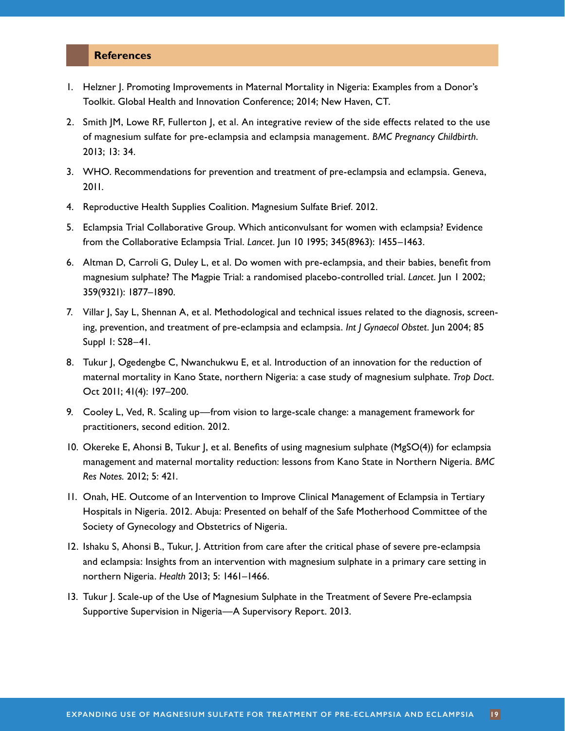#### <span id="page-18-1"></span>**References**

- <span id="page-18-0"></span>1. Helzner J. Promoting Improvements in Maternal Mortality in Nigeria: Examples from a Donor's Toolkit. Global Health and Innovation Conference; 2014; New Haven, CT.
- <span id="page-18-2"></span>2. Smith JM, Lowe RF, Fullerton J, et al. An integrative review of the side effects related to the use of magnesium sulfate for pre-eclampsia and eclampsia management. *BMC Pregnancy Childbirth*. 2013; 13: 34.
- <span id="page-18-3"></span>3. WHO. Recommendations for prevention and treatment of pre-eclampsia and eclampsia. Geneva, 2011.
- <span id="page-18-4"></span>4. Reproductive Health Supplies Coalition. Magnesium Sulfate Brief. 2012.
- 5. Eclampsia Trial Collaborative Group. Which anticonvulsant for women with eclampsia? Evidence from the Collaborative Eclampsia Trial. *Lancet*. Jun 10 1995; 345(8963): 1455–1463.
- <span id="page-18-5"></span>6. Altman D, Carroli G, Duley L, et al. Do women with pre-eclampsia, and their babies, benefit from magnesium sulphate? The Magpie Trial: a randomised placebo-controlled trial. *Lancet*. Jun 1 2002; 359(9321): 1877–1890.
- <span id="page-18-6"></span>7. Villar J, Say L, Shennan A, et al. Methodological and technical issues related to the diagnosis, screening, prevention, and treatment of pre-eclampsia and eclampsia. *Int J Gynaecol Obstet*. Jun 2004; 85 Suppl 1: S28–41.
- <span id="page-18-7"></span>8. Tukur J, Ogedengbe C, Nwanchukwu E, et al. Introduction of an innovation for the reduction of maternal mortality in Kano State, northern Nigeria: a case study of magnesium sulphate. *Trop Doct*. Oct 2011; 41(4): 197–200.
- <span id="page-18-8"></span>9. Cooley L, Ved, R. Scaling up—from vision to large-scale change: a management framework for practitioners, second edition. 2012.
- <span id="page-18-9"></span>10. Okereke E, Ahonsi B, Tukur J, et al. Benefits of using magnesium sulphate (MgSO(4)) for eclampsia management and maternal mortality reduction: lessons from Kano State in Northern Nigeria. *BMC Res Notes.* 2012; 5: 421.
- <span id="page-18-10"></span>11. Onah, HE. Outcome of an Intervention to Improve Clinical Management of Eclampsia in Tertiary Hospitals in Nigeria. 2012. Abuja: Presented on behalf of the Safe Motherhood Committee of the Society of Gynecology and Obstetrics of Nigeria.
- <span id="page-18-11"></span>12. Ishaku S, Ahonsi B., Tukur, J. Attrition from care after the critical phase of severe pre-eclampsia and eclampsia: Insights from an intervention with magnesium sulphate in a primary care setting in northern Nigeria. *Health* 2013; 5: 1461–1466.
- <span id="page-18-12"></span>13. Tukur J. Scale-up of the Use of Magnesium Sulphate in the Treatment of Severe Pre-eclampsia Supportive Supervision in Nigeria—A Supervisory Report. 2013.